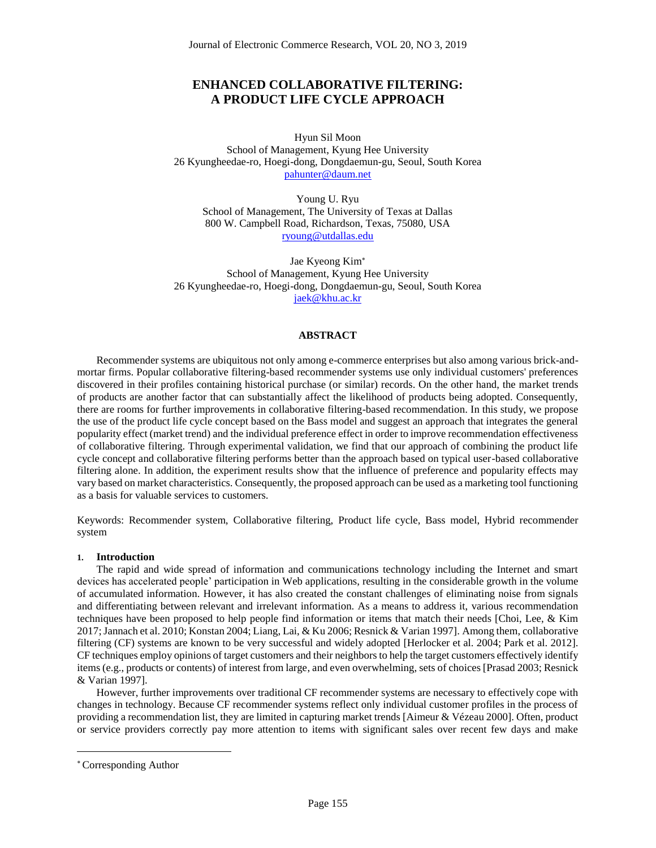# **ENHANCED COLLABORATIVE FILTERING: A PRODUCT LIFE CYCLE APPROACH**

Hyun Sil Moon School of Management, Kyung Hee University 26 Kyungheedae-ro, Hoegi-dong, Dongdaemun-gu, Seoul, South Korea [pahunter@daum.net](mailto:pahunter@daum.net)

Young U. Ryu School of Management, The University of Texas at Dallas 800 W. Campbell Road, Richardson, Texas, 75080, USA [ryoung@utdallas.edu](mailto:ryoung@utdallas.edu)

Jae Kyeong Kim School of Management, Kyung Hee University 26 Kyungheedae-ro, Hoegi-dong, Dongdaemun-gu, Seoul, South Korea [jaek@khu.ac.kr](mailto:jaek@khu.ac.kr)

## **ABSTRACT**

Recommender systems are ubiquitous not only among e-commerce enterprises but also among various brick-andmortar firms. Popular collaborative filtering-based recommender systems use only individual customers' preferences discovered in their profiles containing historical purchase (or similar) records. On the other hand, the market trends of products are another factor that can substantially affect the likelihood of products being adopted. Consequently, there are rooms for further improvements in collaborative filtering-based recommendation. In this study, we propose the use of the product life cycle concept based on the Bass model and suggest an approach that integrates the general popularity effect (market trend) and the individual preference effect in order to improve recommendation effectiveness of collaborative filtering. Through experimental validation, we find that our approach of combining the product life cycle concept and collaborative filtering performs better than the approach based on typical user-based collaborative filtering alone. In addition, the experiment results show that the influence of preference and popularity effects may vary based on market characteristics. Consequently, the proposed approach can be used as a marketing tool functioning as a basis for valuable services to customers.

Keywords: Recommender system, Collaborative filtering, Product life cycle, Bass model, Hybrid recommender system

## **1. Introduction**

The rapid and wide spread of information and communications technology including the Internet and smart devices has accelerated people' participation in Web applications, resulting in the considerable growth in the volume of accumulated information. However, it has also created the constant challenges of eliminating noise from signals and differentiating between relevant and irrelevant information. As a means to address it, various recommendation techniques have been proposed to help people find information or items that match their needs [Choi, Lee, & Kim 2017; Jannach et al. 2010; Konstan 2004; Liang, Lai, & Ku 2006; Resnick & Varian 1997]. Among them, collaborative filtering (CF) systems are known to be very successful and widely adopted [Herlocker et al. 2004; Park et al. 2012]. CF techniques employ opinions of target customers and their neighbors to help the target customers effectively identify items (e.g., products or contents) of interest from large, and even overwhelming, sets of choices [Prasad 2003; Resnick & Varian 1997].

However, further improvements over traditional CF recommender systems are necessary to effectively cope with changes in technology. Because CF recommender systems reflect only individual customer profiles in the process of providing a recommendation list, they are limited in capturing market trends [Aimeur & Vézeau 2000]. Often, product or service providers correctly pay more attention to items with significant sales over recent few days and make

 $\overline{a}$ 

Corresponding Author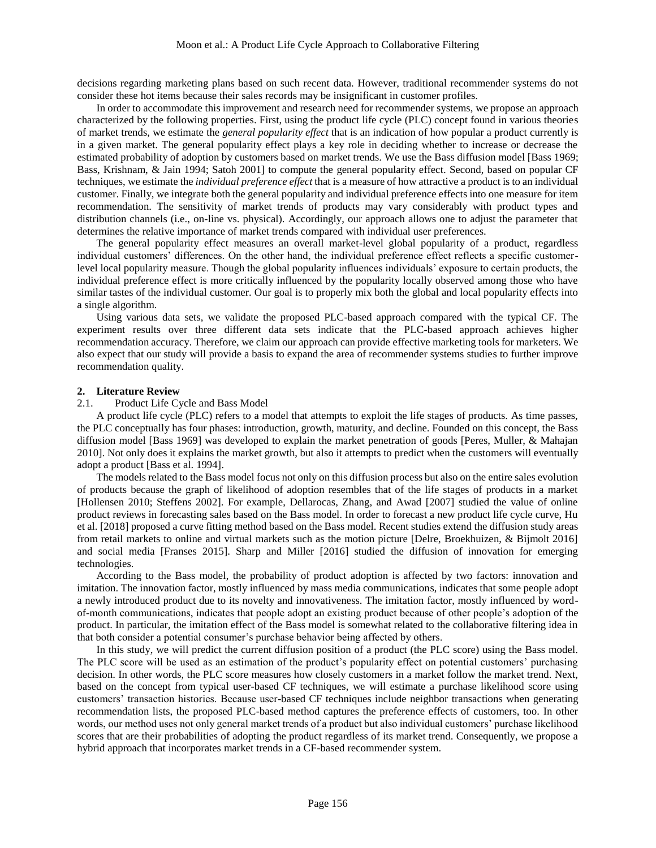decisions regarding marketing plans based on such recent data. However, traditional recommender systems do not consider these hot items because their sales records may be insignificant in customer profiles.

In order to accommodate this improvement and research need for recommender systems, we propose an approach characterized by the following properties. First, using the product life cycle (PLC) concept found in various theories of market trends, we estimate the *general popularity effect* that is an indication of how popular a product currently is in a given market. The general popularity effect plays a key role in deciding whether to increase or decrease the estimated probability of adoption by customers based on market trends. We use the Bass diffusion model [Bass 1969; Bass, Krishnam, & Jain 1994; Satoh 2001] to compute the general popularity effect. Second, based on popular CF techniques, we estimate the *individual preference effect* that is a measure of how attractive a product is to an individual customer. Finally, we integrate both the general popularity and individual preference effects into one measure for item recommendation. The sensitivity of market trends of products may vary considerably with product types and distribution channels (i.e., on-line vs. physical). Accordingly, our approach allows one to adjust the parameter that determines the relative importance of market trends compared with individual user preferences.

The general popularity effect measures an overall market-level global popularity of a product, regardless individual customers' differences. On the other hand, the individual preference effect reflects a specific customerlevel local popularity measure. Though the global popularity influences individuals' exposure to certain products, the individual preference effect is more critically influenced by the popularity locally observed among those who have similar tastes of the individual customer. Our goal is to properly mix both the global and local popularity effects into a single algorithm.

Using various data sets, we validate the proposed PLC-based approach compared with the typical CF. The experiment results over three different data sets indicate that the PLC-based approach achieves higher recommendation accuracy. Therefore, we claim our approach can provide effective marketing tools for marketers. We also expect that our study will provide a basis to expand the area of recommender systems studies to further improve recommendation quality.

## **2. Literature Review**

## 2.1. Product Life Cycle and Bass Model

A product life cycle (PLC) refers to a model that attempts to exploit the life stages of products. As time passes, the PLC conceptually has four phases: introduction, growth, maturity, and decline. Founded on this concept, the Bass diffusion model [Bass 1969] was developed to explain the market penetration of goods [Peres, Muller, & Mahajan 2010]. Not only does it explains the market growth, but also it attempts to predict when the customers will eventually adopt a product [Bass et al. 1994].

The models related to the Bass model focus not only on this diffusion process but also on the entire sales evolution of products because the graph of likelihood of adoption resembles that of the life stages of products in a market [Hollensen 2010; Steffens 2002]. For example, Dellarocas, Zhang, and Awad [2007] studied the value of online product reviews in forecasting sales based on the Bass model. In order to forecast a new product life cycle curve, Hu et al. [2018] proposed a curve fitting method based on the Bass model. Recent studies extend the diffusion study areas from retail markets to online and virtual markets such as the motion picture [Delre, Broekhuizen, & Bijmolt 2016] and social media [Franses 2015]. Sharp and Miller [2016] studied the diffusion of innovation for emerging technologies.

According to the Bass model, the probability of product adoption is affected by two factors: innovation and imitation. The innovation factor, mostly influenced by mass media communications, indicates that some people adopt a newly introduced product due to its novelty and innovativeness. The imitation factor, mostly influenced by wordof-month communications, indicates that people adopt an existing product because of other people's adoption of the product. In particular, the imitation effect of the Bass model is somewhat related to the collaborative filtering idea in that both consider a potential consumer's purchase behavior being affected by others.

In this study, we will predict the current diffusion position of a product (the PLC score) using the Bass model. The PLC score will be used as an estimation of the product's popularity effect on potential customers' purchasing decision. In other words, the PLC score measures how closely customers in a market follow the market trend. Next, based on the concept from typical user-based CF techniques, we will estimate a purchase likelihood score using customers' transaction histories. Because user-based CF techniques include neighbor transactions when generating recommendation lists, the proposed PLC-based method captures the preference effects of customers, too. In other words, our method uses not only general market trends of a product but also individual customers' purchase likelihood scores that are their probabilities of adopting the product regardless of its market trend. Consequently, we propose a hybrid approach that incorporates market trends in a CF-based recommender system.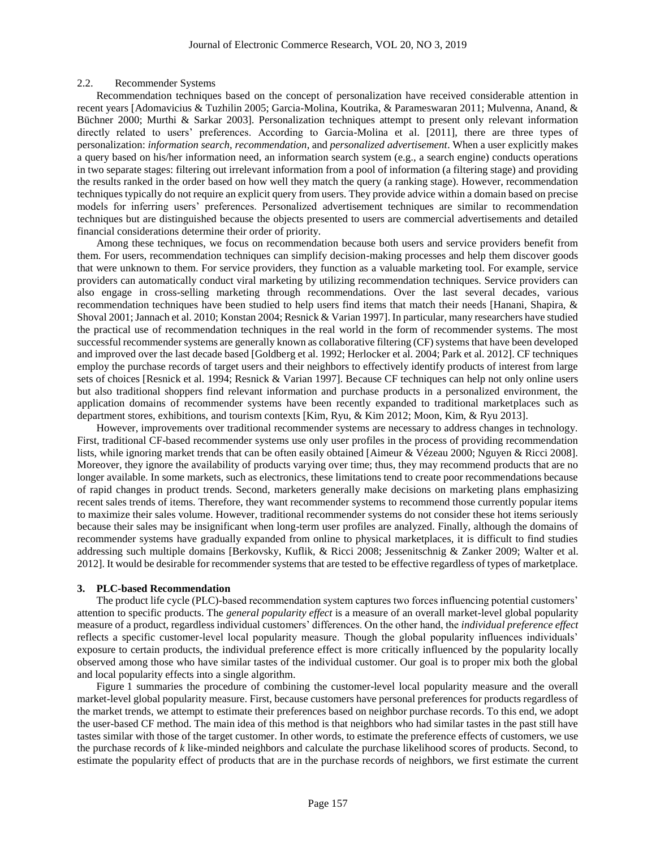## 2.2. Recommender Systems

Recommendation techniques based on the concept of personalization have received considerable attention in recent years [Adomavicius & Tuzhilin 2005; Garcia-Molina, Koutrika, & Parameswaran 2011; Mulvenna, Anand, & Büchner 2000; Murthi & Sarkar 2003]. Personalization techniques attempt to present only relevant information directly related to users' preferences. According to Garcia-Molina et al. [2011], there are three types of personalization: *information search*, *recommendation*, and *personalized advertisement*. When a user explicitly makes a query based on his/her information need, an information search system (e.g., a search engine) conducts operations in two separate stages: filtering out irrelevant information from a pool of information (a filtering stage) and providing the results ranked in the order based on how well they match the query (a ranking stage). However, recommendation techniques typically do not require an explicit query from users. They provide advice within a domain based on precise models for inferring users' preferences. Personalized advertisement techniques are similar to recommendation techniques but are distinguished because the objects presented to users are commercial advertisements and detailed financial considerations determine their order of priority.

Among these techniques, we focus on recommendation because both users and service providers benefit from them. For users, recommendation techniques can simplify decision-making processes and help them discover goods that were unknown to them. For service providers, they function as a valuable marketing tool. For example, service providers can automatically conduct viral marketing by utilizing recommendation techniques. Service providers can also engage in cross-selling marketing through recommendations. Over the last several decades, various recommendation techniques have been studied to help users find items that match their needs [Hanani, Shapira, & Shoval 2001; Jannach et al. 2010; Konstan 2004; Resnick & Varian 1997]. In particular, many researchers have studied the practical use of recommendation techniques in the real world in the form of recommender systems. The most successful recommender systems are generally known as collaborative filtering (CF) systems that have been developed and improved over the last decade based [Goldberg et al. 1992; Herlocker et al. 2004; Park et al. 2012]. CF techniques employ the purchase records of target users and their neighbors to effectively identify products of interest from large sets of choices [Resnick et al. 1994; Resnick & Varian 1997]. Because CF techniques can help not only online users but also traditional shoppers find relevant information and purchase products in a personalized environment, the application domains of recommender systems have been recently expanded to traditional marketplaces such as department stores, exhibitions, and tourism contexts [Kim, Ryu, & Kim 2012; Moon, Kim, & Ryu 2013].

However, improvements over traditional recommender systems are necessary to address changes in technology. First, traditional CF-based recommender systems use only user profiles in the process of providing recommendation lists, while ignoring market trends that can be often easily obtained [Aimeur & Vézeau 2000; Nguyen & Ricci 2008]. Moreover, they ignore the availability of products varying over time; thus, they may recommend products that are no longer available. In some markets, such as electronics, these limitations tend to create poor recommendations because of rapid changes in product trends. Second, marketers generally make decisions on marketing plans emphasizing recent sales trends of items. Therefore, they want recommender systems to recommend those currently popular items to maximize their sales volume. However, traditional recommender systems do not consider these hot items seriously because their sales may be insignificant when long-term user profiles are analyzed. Finally, although the domains of recommender systems have gradually expanded from online to physical marketplaces, it is difficult to find studies addressing such multiple domains [Berkovsky, Kuflik, & Ricci 2008; Jessenitschnig & Zanker 2009; Walter et al. 2012]. It would be desirable for recommender systems that are tested to be effective regardless of types of marketplace.

#### **3. PLC-based Recommendation**

The product life cycle (PLC)-based recommendation system captures two forces influencing potential customers' attention to specific products. The *general popularity effect* is a measure of an overall market-level global popularity measure of a product, regardless individual customers' differences. On the other hand, the *individual preference effect* reflects a specific customer-level local popularity measure. Though the global popularity influences individuals' exposure to certain products, the individual preference effect is more critically influenced by the popularity locally observed among those who have similar tastes of the individual customer. Our goal is to proper mix both the global and local popularity effects into a single algorithm.

Figure 1 summaries the procedure of combining the customer-level local popularity measure and the overall market-level global popularity measure. First, because customers have personal preferences for products regardless of the market trends, we attempt to estimate their preferences based on neighbor purchase records. To this end, we adopt the user-based CF method. The main idea of this method is that neighbors who had similar tastes in the past still have tastes similar with those of the target customer. In other words, to estimate the preference effects of customers, we use the purchase records of *k* like-minded neighbors and calculate the purchase likelihood scores of products. Second, to estimate the popularity effect of products that are in the purchase records of neighbors, we first estimate the current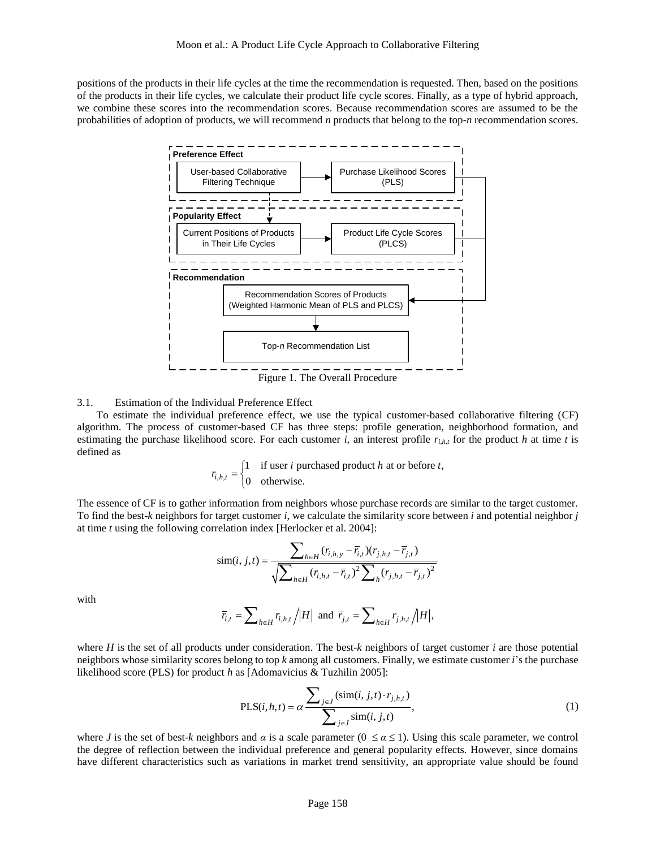positions of the products in their life cycles at the time the recommendation is requested. Then, based on the positions of the products in their life cycles, we calculate their product life cycle scores. Finally, as a type of hybrid approach, we combine these scores into the recommendation scores. Because recommendation scores are assumed to be the probabilities of adoption of products, we will recommend *n* products that belong to the top-*n* recommendation scores.



Figure 1. The Overall Procedure

#### 3.1. Estimation of the Individual Preference Effect

To estimate the individual preference effect, we use the typical customer-based collaborative filtering (CF) algorithm. The process of customer-based CF has three steps: profile generation, neighborhood formation, and estimating the purchase likelihood score. For each customer *i*, an interest profile  $r_{i,h,t}$  for the product *h* at time *t* is defined as

$$
r_{i,h,t} = \begin{cases} 1 & \text{if user } i \text{ purchased product } h \text{ at or before } t, \\ 0 & \text{otherwise.} \end{cases}
$$

The essence of CF is to gather information from neighbors whose purchase records are similar to the target customer. To find the best-*k* neighbors for target customer *i*, we calculate the similarity score between *i* and potential neighbor *j* at time *t* using the following correlation index [Herlocker et al. 2004]:

$$
\text{sim}(i, j, t) = \frac{\sum_{h \in H} (r_{i,h,y} - \overline{r}_{i,t})(r_{j,h,t} - \overline{r}_{j,t})}{\sqrt{\sum_{h \in H} (r_{i,h,t} - \overline{r}_{i,t})^2 \sum_{h} (r_{j,h,t} - \overline{r}_{j,t})^2}}
$$

with

$$
\overline{r}_{i,t} = \sum_{h \in H} r_{i,h,t} / |H| \text{ and } \overline{r}_{j,t} = \sum_{h \in H} r_{j,h,t} / |H|,
$$

where  $H$  is the set of all products under consideration. The best- $k$  neighbors of target customer  $i$  are those potential neighbors whose similarity scores belong to top *k* among all customers. Finally, we estimate customer *i*'s the purchase likelihood score (PLS) for product *h* as [Adomavicius & Tuzhilin 2005]:

<span id="page-3-0"></span>
$$
\text{PLS}(i, h, t) = \alpha \frac{\sum_{j \in J} (\text{sim}(i, j, t) \cdot r_{j, h, t})}{\sum_{j \in J} \text{sim}(i, j, t)},
$$
\n(1)

where *J* is the set of best-*k* neighbors and *α* is a scale parameter ( $0 \le a \le 1$ ). Using this scale parameter, we control the degree of reflection between the individual preference and general popularity effects. However, since domains have different characteristics such as variations in market trend sensitivity, an appropriate value should be found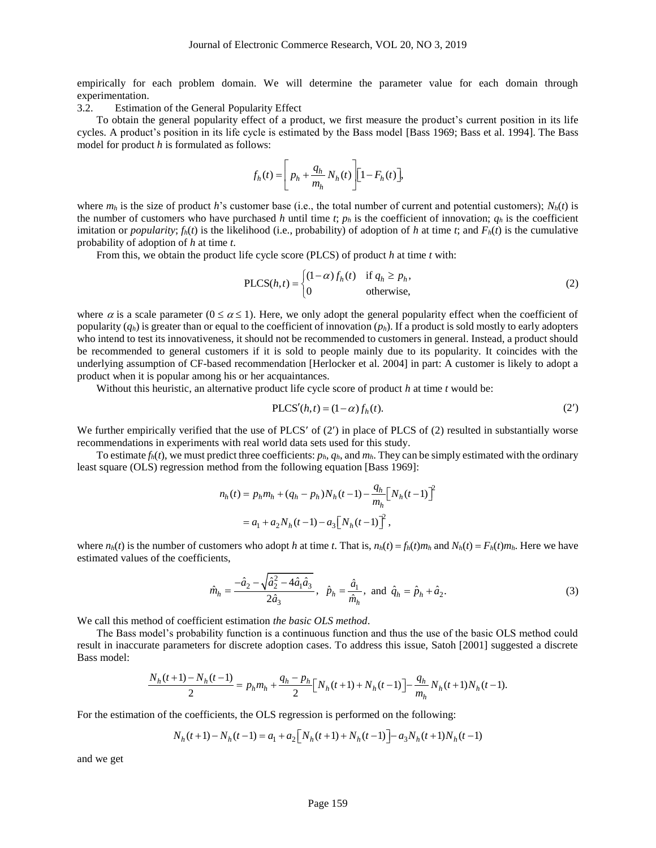empirically for each problem domain. We will determine the parameter value for each domain through experimentation.

3.2. Estimation of the General Popularity Effect

To obtain the general popularity effect of a product, we first measure the product's current position in its life cycles. A product's position in its life cycle is estimated by the Bass model [Bass 1969; Bass et al. 1994]. The Bass model for product *h* is formulated as follows:

$$
f_h(t) = \left[ p_h + \frac{q_h}{m_h} N_h(t) \right] \left[ 1 - F_h(t) \right],
$$

where  $m_h$  is the size of product *h*'s customer base (i.e., the total number of current and potential customers);  $N_h(t)$  is the number of customers who have purchased *h* until time *t*;  $p_h$  is the coefficient of innovation;  $q_h$  is the coefficient imitation or *popularity*;  $f_h(t)$  is the likelihood (i.e., probability) of adoption of *h* at time *t*; and  $F_h(t)$  is the cumulative probability of adoption of *h* at time *t*.

From this, we obtain the product life cycle score (PLCS) of product *h* at time *t* with:

<span id="page-4-1"></span>
$$
PLCS(h,t) = \begin{cases} (1-\alpha)f_h(t) & \text{if } q_h \ge p_h, \\ 0 & \text{otherwise,} \end{cases}
$$
 (2)

where  $\alpha$  is a scale parameter ( $0 \le \alpha \le 1$ ). Here, we only adopt the general popularity effect when the coefficient of popularity  $(q_h)$  is greater than or equal to the coefficient of innovation  $(p_h)$ . If a product is sold mostly to early adopters who intend to test its innovativeness, it should not be recommended to customers in general. Instead, a product should be recommended to general customers if it is sold to people mainly due to its popularity. It coincides with the underlying assumption of CF-based recommendation [Herlocker et al. 2004] in part: A customer is likely to adopt a product when it is popular among his or her acquaintances.

Without this heuristic, an alternative product life cycle score of product *h* at time *t* would be:

<span id="page-4-0"></span>
$$
PLCS'(h,t) = (1-\alpha)f_h(t).
$$
 (2')

We further empirically verified that the use of PLCS' of  $(2)$  in place of PLCS of  $(2)$  resulted in substantially worse recommendations in experiments with real world data sets used for this study.

To estimate  $f_h(t)$ , we must predict three coefficients:  $p_h$ ,  $q_h$ , and  $m_h$ . They can be simply estimated with the ordinary least square (OLS) regression method from the following equation [Bass 1969]:

$$
n_h(t) = p_h m_h + (q_h - p_h) N_h(t-1) - \frac{q_h}{m_h} \Big[ N_h(t-1) \Big]^2
$$
  
=  $a_1 + a_2 N_h(t-1) - a_3 \Big[ N_h(t-1) \Big]^2$ ,

where  $n_h(t)$  is the number of customers who adopt h at time t. That is,  $n_h(t) = f_h(t)m_h$  and  $N_h(t) = F_h(t)m_h$ . Here we have estimated values of the coefficients,

$$
\hat{m}_h = \frac{-\hat{a}_2 - \sqrt{\hat{a}_2^2 - 4\hat{a}_1\hat{a}_3}}{2\hat{a}_3}, \ \ \hat{p}_h = \frac{\hat{a}_1}{\hat{m}_h}, \ \text{and} \ \ \hat{q}_h = \hat{p}_h + \hat{a}_2. \tag{3}
$$

We call this method of coefficient estimation *the basic OLS method*.

The Bass model's probability function is a continuous function and thus the use of the basic OLS method could result in inaccurate parameters for discrete adoption cases. To address this issue, Satoh [2001] suggested a discrete Bass model:<br>  $\frac{N_h(t+1) - N_h(t-1)}{2} = p_h m_h + \frac{q_h - p_h}{2} [N_h(t+1) + N_h(t-1)] - \frac{q_h}{m_h} N_h(t+1) N_h(t-1).$ Bass model:

$$
\frac{N_h(t+1) - N_h(t-1)}{2} = p_h m_h + \frac{q_h - p_h}{2} \Big[ N_h(t+1) + N_h(t-1) \Big] - \frac{q_h}{m_h} N_h(t+1) N_h(t-1).
$$

For the estimation of the coefficients, the OLS regression is performed on the following:  
\n
$$
N_h(t+1) - N_h(t-1) = a_1 + a_2 \left[ N_h(t+1) + N_h(t-1) \right] - a_3 N_h(t+1) N_h(t-1)
$$

and we get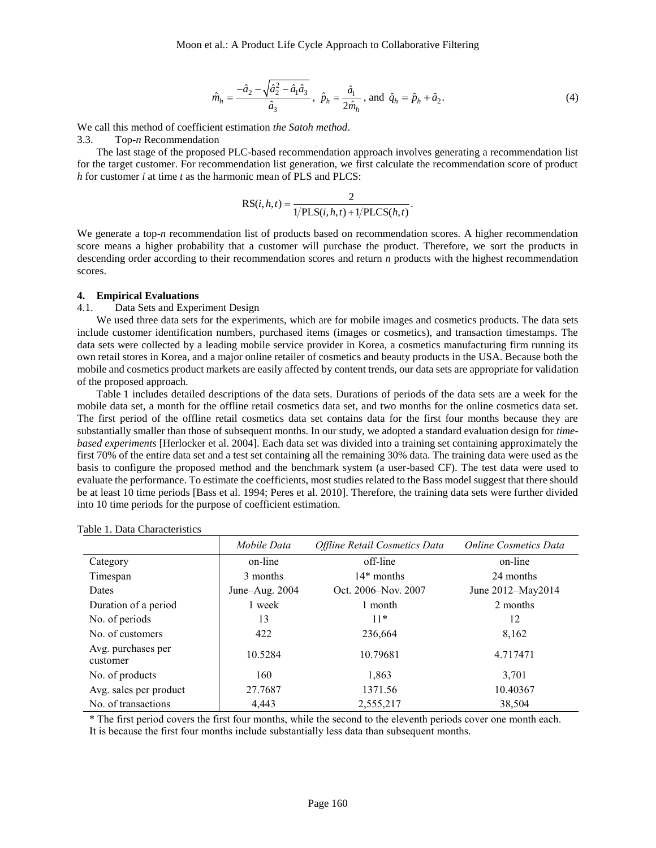$$
\hat{m}_h = \frac{-\hat{a}_2 - \sqrt{\hat{a}_2^2 - \hat{a}_1 \hat{a}_3}}{\hat{a}_3}, \ \hat{p}_h = \frac{\hat{a}_1}{2\hat{m}_h}, \text{ and } \ \hat{q}_h = \hat{p}_h + \hat{a}_2. \tag{4}
$$

We call this method of coefficient estimation *the Satoh method*.

3.3. Top-*n* Recommendation

The last stage of the proposed PLC-based recommendation approach involves generating a recommendation list for the target customer. For recommendation list generation, we first calculate the recommendation score of product *h* for customer *i* at time *t* as the harmonic mean of PLS and PLCS:

<span id="page-5-0"></span>
$$
RS(i, h, t) = \frac{2}{1/PLS(i, h, t) + 1/PLCS(h, t)}.
$$

We generate a top-*n* recommendation list of products based on recommendation scores. A higher recommendation score means a higher probability that a customer will purchase the product. Therefore, we sort the products in descending order according to their recommendation scores and return *n* products with the highest recommendation scores.

#### **4. Empirical Evaluations**

#### 4.1. Data Sets and Experiment Design

We used three data sets for the experiments, which are for mobile images and cosmetics products. The data sets include customer identification numbers, purchased items (images or cosmetics), and transaction timestamps. The data sets were collected by a leading mobile service provider in Korea, a cosmetics manufacturing firm running its own retail stores in Korea, and a major online retailer of cosmetics and beauty products in the USA. Because both the mobile and cosmetics product markets are easily affected by content trends, our data sets are appropriate for validation of the proposed approach.

Table 1 includes detailed descriptions of the data sets. Durations of periods of the data sets are a week for the mobile data set, a month for the offline retail cosmetics data set, and two months for the online cosmetics data set. The first period of the offline retail cosmetics data set contains data for the first four months because they are substantially smaller than those of subsequent months. In our study, we adopted a standard evaluation design for *timebased experiments* [Herlocker et al. 2004]. Each data set was divided into a training set containing approximately the first 70% of the entire data set and a test set containing all the remaining 30% data. The training data were used as the basis to configure the proposed method and the benchmark system (a user-based CF). The test data were used to evaluate the performance. To estimate the coefficients, most studies related to the Bass model suggest that there should be at least 10 time periods [Bass et al. 1994; Peres et al. 2010]. Therefore, the training data sets were further divided into 10 time periods for the purpose of coefficient estimation.

|                                | Mobile Data    | Offline Retail Cosmetics Data | <b>Online Cosmetics Data</b> |  |
|--------------------------------|----------------|-------------------------------|------------------------------|--|
| Category                       | on-line        | off-line                      | on-line                      |  |
| Timespan                       | 3 months       | $14*$ months                  | 24 months                    |  |
| <b>Dates</b>                   | June-Aug. 2004 | Oct. 2006–Nov. 2007           | June 2012-May2014            |  |
| Duration of a period           | 1 week         | 1 month                       | 2 months                     |  |
| No. of periods                 | 13             | $11*$                         | 12                           |  |
| No. of customers               | 422            | 236,664                       | 8,162                        |  |
| Avg. purchases per<br>customer | 10.5284        | 10.79681                      | 4.717471                     |  |
| No. of products                | 160            | 1.863                         | 3.701                        |  |
| Avg. sales per product         | 27.7687        | 1371.56                       | 10.40367                     |  |
| No. of transactions            | 4.443          | 2,555,217                     | 38,504                       |  |

# Table 1. Data Characteristics

\* The first period covers the first four months, while the second to the eleventh periods cover one month each. It is because the first four months include substantially less data than subsequent months.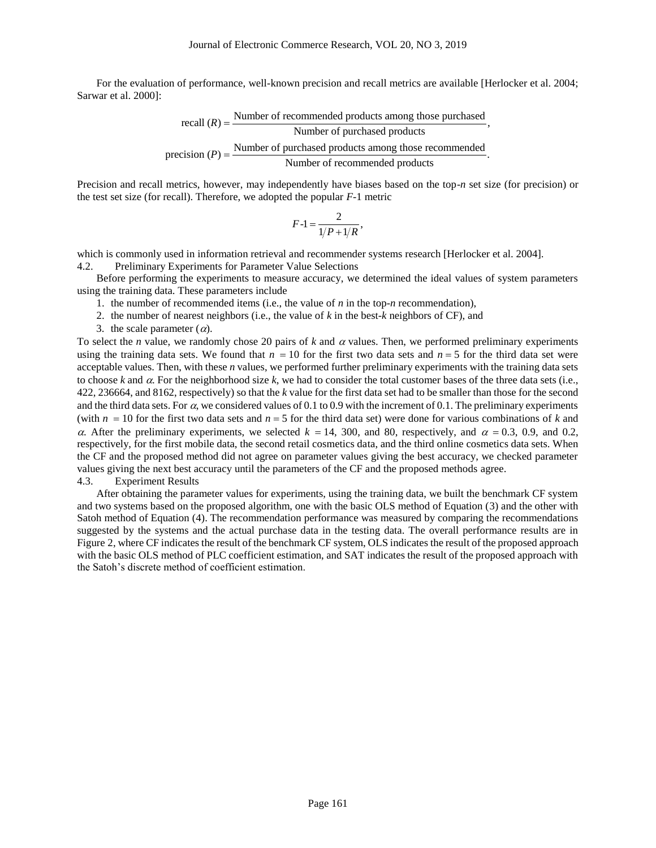For the evaluation of performance, well-known precision and recall metrics are available [Herlocker et al. 2004; Sarwar et al. 2000]:

recall (*R*) = 
$$
\frac{\text{Number of recommended products among those purchased, Number of purchased products}}{\text{Number of purchased products among those recommended, Number of recommended products}}.
$$

Precision and recall metrics, however, may independently have biases based on the top-*n* set size (for precision) or the test set size (for recall). Therefore, we adopted the popular *F*-1 metric

$$
F-1=\frac{2}{1/P+1/R},
$$

which is commonly used in information retrieval and recommender systems research [Herlocker et al. 2004]. 4.2. Preliminary Experiments for Parameter Value Selections

Before performing the experiments to measure accuracy, we determined the ideal values of system parameters using the training data. These parameters include

1. the number of recommended items (i.e., the value of *n* in the top-*n* recommendation),

- 2. the number of nearest neighbors (i.e., the value of *k* in the best-*k* neighbors of CF), and
- 3. the scale parameter  $(\alpha)$ .

To select the *n* value, we randomly chose 20 pairs of  $k$  and  $\alpha$  values. Then, we performed preliminary experiments using the training data sets. We found that  $n = 10$  for the first two data sets and  $n = 5$  for the third data set were acceptable values. Then, with these *n* values, we performed further preliminary experiments with the training data sets to choose  $k$  and  $\alpha$ . For the neighborhood size  $k$ , we had to consider the total customer bases of the three data sets (i.e., 422, 236664, and 8162, respectively) so that the *k* value for the first data set had to be smaller than those for the second and the third data sets. For  $\alpha$ , we considered values of 0.1 to 0.9 with the increment of 0.1. The preliminary experiments (with  $n = 10$  for the first two data sets and  $n = 5$  for the third data set) were done for various combinations of k and  $\alpha$ . After the preliminary experiments, we selected  $k = 14, 300$ , and 80, respectively, and  $\alpha = 0.3, 0.9,$  and 0.2, respectively, for the first mobile data, the second retail cosmetics data, and the third online cosmetics data sets. When the CF and the proposed method did not agree on parameter values giving the best accuracy, we checked parameter values giving the next best accuracy until the parameters of the CF and the proposed methods agree. 4.3. Experiment Results

After obtaining the parameter values for experiments, using the training data, we built the benchmark CF system and two systems based on the proposed algorithm, one with the basic OLS method of Equation [\(3\)](#page-4-0) and the other with Satoh method of Equation [\(4\)](#page-5-0). The recommendation performance was measured by comparing the recommendations suggested by the systems and the actual purchase data in the testing data. The overall performance results are in Figure 2, where CF indicates the result of the benchmark CF system, OLS indicates the result of the proposed approach with the basic OLS method of PLC coefficient estimation, and SAT indicates the result of the proposed approach with the Satoh's discrete method of coefficient estimation.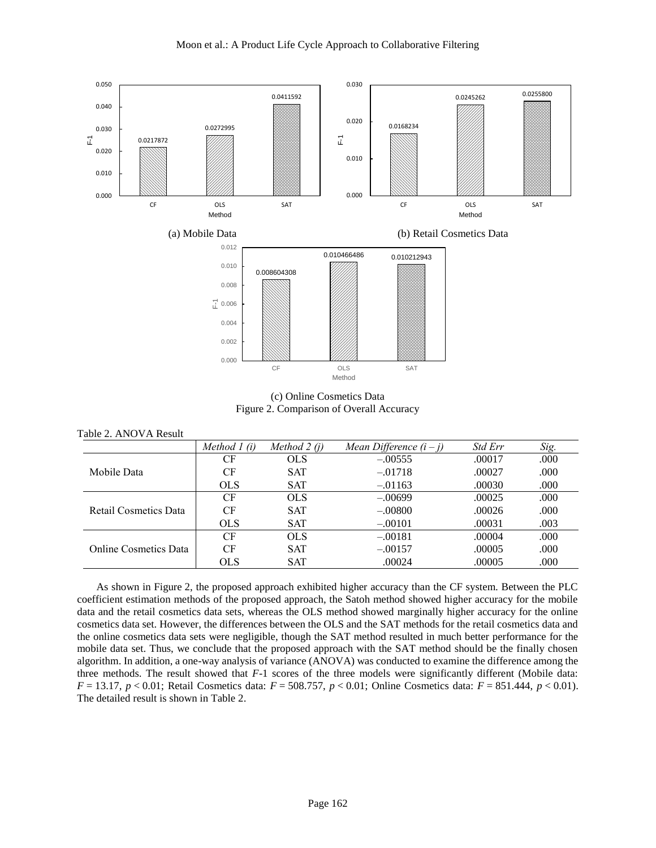

Moon et al.: A Product Life Cycle Approach to Collaborative Filtering

(c) Online Cosmetics Data Figure 2. Comparison of Overall Accuracy

|                       | Method $l(i)$ | Method $2(i)$ | Mean Difference $(i - j)$ | <i>Std Err</i> | Sig. |
|-----------------------|---------------|---------------|---------------------------|----------------|------|
| Mobile Data           | <b>CF</b>     | <b>OLS</b>    | $-.00555$                 | .00017         | .000 |
|                       | CF            | <b>SAT</b>    | $-.01718$                 | .00027         | .000 |
|                       | <b>OLS</b>    | <b>SAT</b>    | $-.01163$                 | .00030         | .000 |
| Retail Cosmetics Data | CF            | <b>OLS</b>    | $-.00699$                 | .00025         | .000 |
|                       | CF            | <b>SAT</b>    | $-.00800$                 | .00026         | .000 |
|                       | <b>OLS</b>    | <b>SAT</b>    | $-.00101$                 | .00031         | .003 |
| Online Cosmetics Data | CF            | <b>OLS</b>    | $-.00181$                 | .00004         | .000 |
|                       | CF            | <b>SAT</b>    | $-.00157$                 | .00005         | .000 |
|                       | <b>OLS</b>    | <b>SAT</b>    | .00024                    | .00005         | .000 |

As shown in Figure 2, the proposed approach exhibited higher accuracy than the CF system. Between the PLC coefficient estimation methods of the proposed approach, the Satoh method showed higher accuracy for the mobile data and the retail cosmetics data sets, whereas the OLS method showed marginally higher accuracy for the online cosmetics data set. However, the differences between the OLS and the SAT methods for the retail cosmetics data and the online cosmetics data sets were negligible, though the SAT method resulted in much better performance for the mobile data set. Thus, we conclude that the proposed approach with the SAT method should be the finally chosen algorithm. In addition, a one-way analysis of variance (ANOVA) was conducted to examine the difference among the three methods. The result showed that *F*-1 scores of the three models were significantly different (Mobile data: *F* = 13.17, *p* < 0.01; Retail Cosmetics data: *F* = 508.757, *p* < 0.01; Online Cosmetics data: *F* = 851.444, *p* < 0.01). The detailed result is shown in Table 2.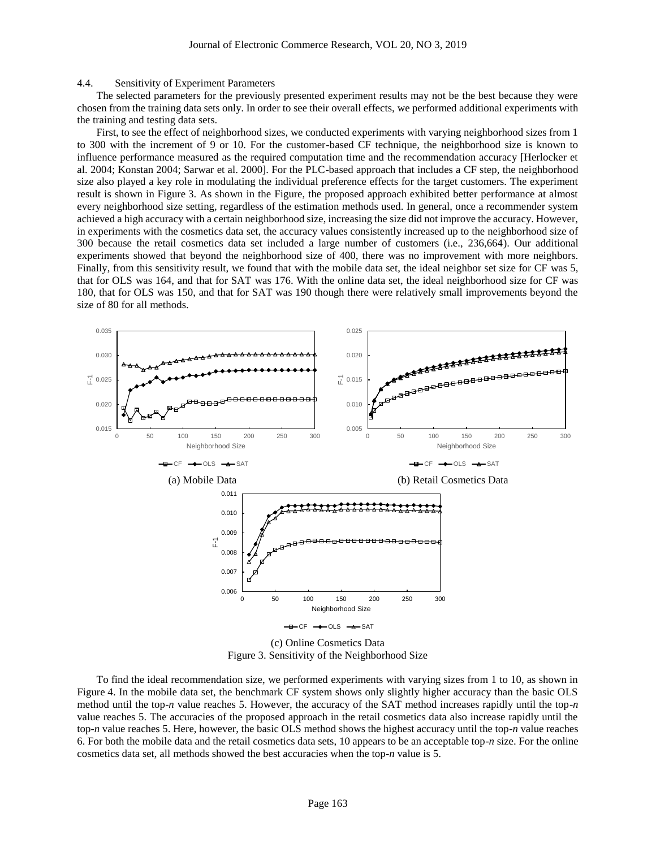#### 4.4. Sensitivity of Experiment Parameters

The selected parameters for the previously presented experiment results may not be the best because they were chosen from the training data sets only. In order to see their overall effects, we performed additional experiments with the training and testing data sets.

First, to see the effect of neighborhood sizes, we conducted experiments with varying neighborhood sizes from 1 to 300 with the increment of 9 or 10. For the customer-based CF technique, the neighborhood size is known to influence performance measured as the required computation time and the recommendation accuracy [Herlocker et al. 2004; Konstan 2004; Sarwar et al. 2000]. For the PLC-based approach that includes a CF step, the neighborhood size also played a key role in modulating the individual preference effects for the target customers. The experiment result is shown in Figure 3. As shown in the Figure, the proposed approach exhibited better performance at almost every neighborhood size setting, regardless of the estimation methods used. In general, once a recommender system achieved a high accuracy with a certain neighborhood size, increasing the size did not improve the accuracy. However, in experiments with the cosmetics data set, the accuracy values consistently increased up to the neighborhood size of 300 because the retail cosmetics data set included a large number of customers (i.e., 236,664). Our additional experiments showed that beyond the neighborhood size of 400, there was no improvement with more neighbors. Finally, from this sensitivity result, we found that with the mobile data set, the ideal neighbor set size for CF was 5, that for OLS was 164, and that for SAT was 176. With the online data set, the ideal neighborhood size for CF was 180, that for OLS was 150, and that for SAT was 190 though there were relatively small improvements beyond the size of 80 for all methods.



Figure 3. Sensitivity of the Neighborhood Size

To find the ideal recommendation size, we performed experiments with varying sizes from 1 to 10, as shown in Figure 4. In the mobile data set, the benchmark CF system shows only slightly higher accuracy than the basic OLS method until the top-*n* value reaches 5. However, the accuracy of the SAT method increases rapidly until the top-*n* value reaches 5. The accuracies of the proposed approach in the retail cosmetics data also increase rapidly until the top-*n* value reaches 5. Here, however, the basic OLS method shows the highest accuracy until the top-*n* value reaches 6. For both the mobile data and the retail cosmetics data sets, 10 appears to be an acceptable top-*n* size. For the online cosmetics data set, all methods showed the best accuracies when the top-*n* value is 5.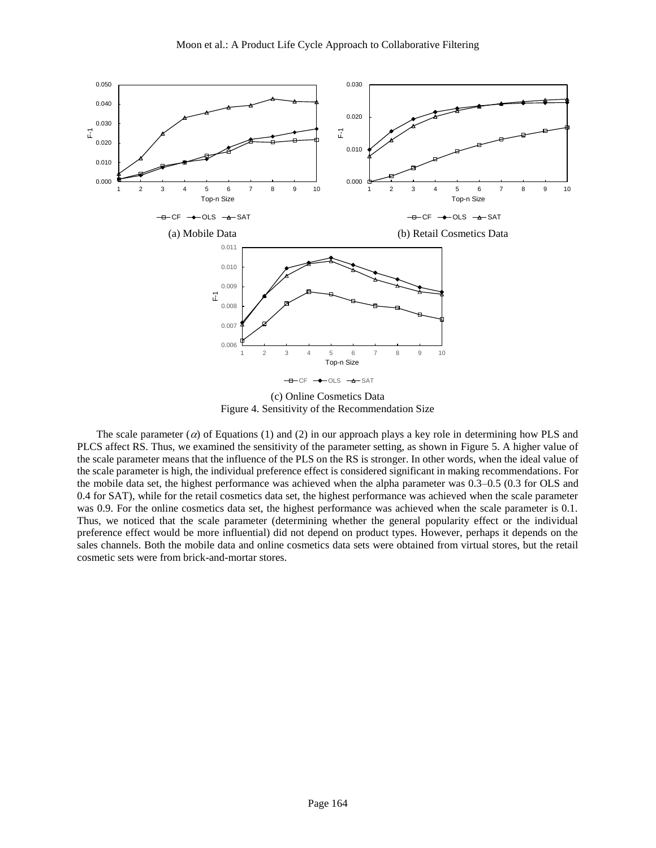

(c) Online Cosmetics Data Figure 4. Sensitivity of the Recommendation Size

The scale parameter ( $\alpha$ ) of Equations (1) and (2) in our approach plays a key role in determining how PLS and PLCS affect RS. Thus, we examined the sensitivity of the parameter setting, as shown in Figure 5. A higher value of the scale parameter means that the influence of the PLS on the RS is stronger. In other words, when the ideal value of the scale parameter is high, the individual preference effect is considered significant in making recommendations. For the mobile data set, the highest performance was achieved when the alpha parameter was 0.3–0.5 (0.3 for OLS and 0.4 for SAT), while for the retail cosmetics data set, the highest performance was achieved when the scale parameter was 0.9. For the online cosmetics data set, the highest performance was achieved when the scale parameter is 0.1. Thus, we noticed that the scale parameter (determining whether the general popularity effect or the individual preference effect would be more influential) did not depend on product types. However, perhaps it depends on the sales channels. Both the mobile data and online cosmetics data sets were obtained from virtual stores, but the retail cosmetic sets were from brick-and-mortar stores.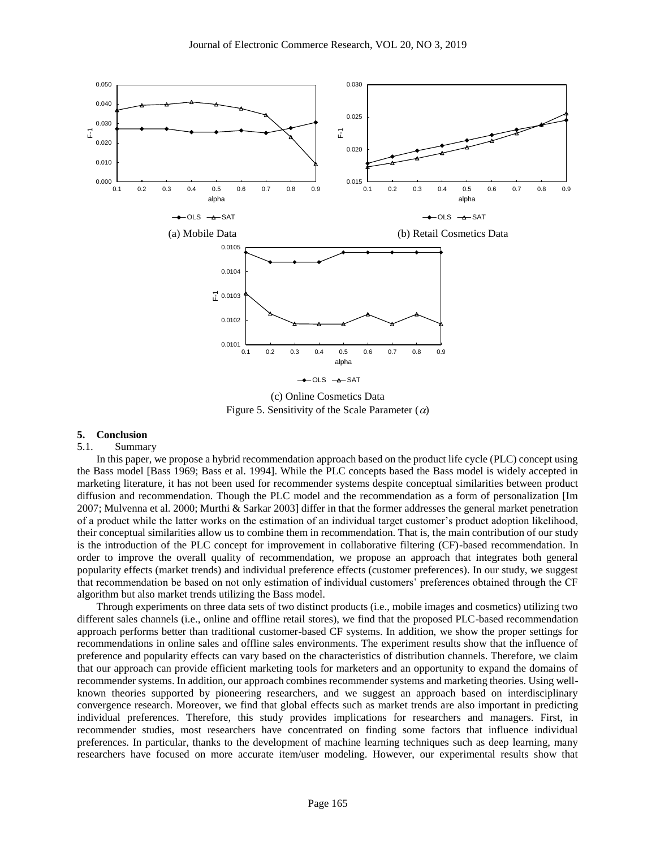

(c) Online Cosmetics Data Figure 5. Sensitivity of the Scale Parameter  $(\alpha)$ 

#### **5. Conclusion**

#### 5.1. Summary

In this paper, we propose a hybrid recommendation approach based on the product life cycle (PLC) concept using the Bass model [Bass 1969; Bass et al. 1994]. While the PLC concepts based the Bass model is widely accepted in marketing literature, it has not been used for recommender systems despite conceptual similarities between product diffusion and recommendation. Though the PLC model and the recommendation as a form of personalization [Im 2007; Mulvenna et al. 2000; Murthi & Sarkar 2003] differ in that the former addresses the general market penetration of a product while the latter works on the estimation of an individual target customer's product adoption likelihood, their conceptual similarities allow us to combine them in recommendation. That is, the main contribution of our study is the introduction of the PLC concept for improvement in collaborative filtering (CF)-based recommendation. In order to improve the overall quality of recommendation, we propose an approach that integrates both general popularity effects (market trends) and individual preference effects (customer preferences). In our study, we suggest that recommendation be based on not only estimation of individual customers' preferences obtained through the CF algorithm but also market trends utilizing the Bass model.

Through experiments on three data sets of two distinct products (i.e., mobile images and cosmetics) utilizing two different sales channels (i.e., online and offline retail stores), we find that the proposed PLC-based recommendation approach performs better than traditional customer-based CF systems. In addition, we show the proper settings for recommendations in online sales and offline sales environments. The experiment results show that the influence of preference and popularity effects can vary based on the characteristics of distribution channels. Therefore, we claim that our approach can provide efficient marketing tools for marketers and an opportunity to expand the domains of recommender systems. In addition, our approach combines recommender systems and marketing theories. Using wellknown theories supported by pioneering researchers, and we suggest an approach based on interdisciplinary convergence research. Moreover, we find that global effects such as market trends are also important in predicting individual preferences. Therefore, this study provides implications for researchers and managers. First, in recommender studies, most researchers have concentrated on finding some factors that influence individual preferences. In particular, thanks to the development of machine learning techniques such as deep learning, many researchers have focused on more accurate item/user modeling. However, our experimental results show that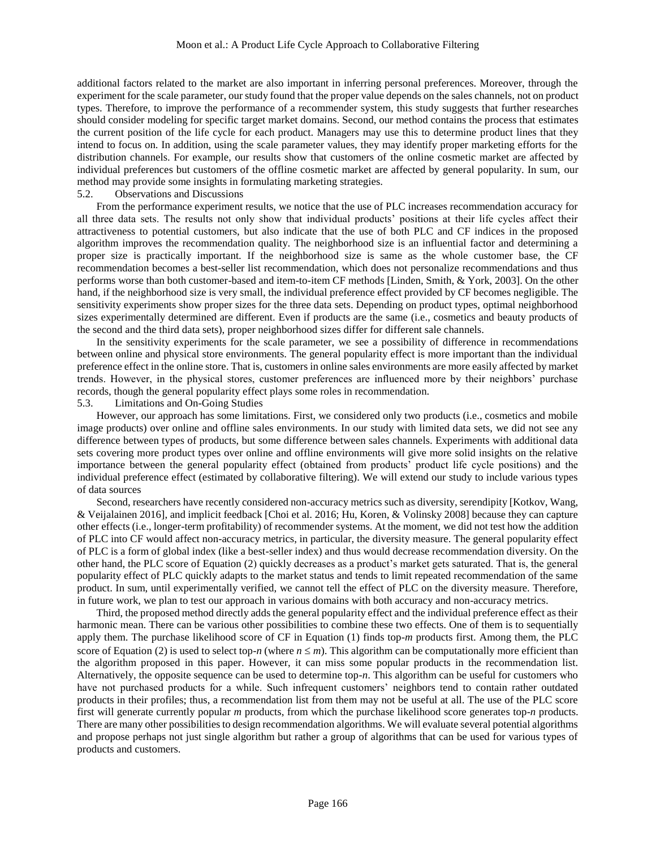additional factors related to the market are also important in inferring personal preferences. Moreover, through the experiment for the scale parameter, our study found that the proper value depends on the sales channels, not on product types. Therefore, to improve the performance of a recommender system, this study suggests that further researches should consider modeling for specific target market domains. Second, our method contains the process that estimates the current position of the life cycle for each product. Managers may use this to determine product lines that they intend to focus on. In addition, using the scale parameter values, they may identify proper marketing efforts for the distribution channels. For example, our results show that customers of the online cosmetic market are affected by individual preferences but customers of the offline cosmetic market are affected by general popularity. In sum, our method may provide some insights in formulating marketing strategies.

# 5.2. Observations and Discussions

From the performance experiment results, we notice that the use of PLC increases recommendation accuracy for all three data sets. The results not only show that individual products' positions at their life cycles affect their attractiveness to potential customers, but also indicate that the use of both PLC and CF indices in the proposed algorithm improves the recommendation quality. The neighborhood size is an influential factor and determining a proper size is practically important. If the neighborhood size is same as the whole customer base, the CF recommendation becomes a best-seller list recommendation, which does not personalize recommendations and thus performs worse than both customer-based and item-to-item CF methods [Linden, Smith, & York, 2003]. On the other hand, if the neighborhood size is very small, the individual preference effect provided by CF becomes negligible. The sensitivity experiments show proper sizes for the three data sets. Depending on product types, optimal neighborhood sizes experimentally determined are different. Even if products are the same (i.e., cosmetics and beauty products of the second and the third data sets), proper neighborhood sizes differ for different sale channels.

In the sensitivity experiments for the scale parameter, we see a possibility of difference in recommendations between online and physical store environments. The general popularity effect is more important than the individual preference effect in the online store. That is, customers in online sales environments are more easily affected by market trends. However, in the physical stores, customer preferences are influenced more by their neighbors' purchase records, though the general popularity effect plays some roles in recommendation.

#### 5.3. Limitations and On-Going Studies

However, our approach has some limitations. First, we considered only two products (i.e., cosmetics and mobile image products) over online and offline sales environments. In our study with limited data sets, we did not see any difference between types of products, but some difference between sales channels. Experiments with additional data sets covering more product types over online and offline environments will give more solid insights on the relative importance between the general popularity effect (obtained from products' product life cycle positions) and the individual preference effect (estimated by collaborative filtering). We will extend our study to include various types of data sources

Second, researchers have recently considered non-accuracy metrics such as diversity, serendipity [Kotkov, Wang, & Veijalainen 2016], and implicit feedback [Choi et al. 2016; Hu, Koren, & Volinsky 2008] because they can capture other effects (i.e., longer-term profitability) of recommender systems. At the moment, we did not test how the addition of PLC into CF would affect non-accuracy metrics, in particular, the diversity measure. The general popularity effect of PLC is a form of global index (like a best-seller index) and thus would decrease recommendation diversity. On the other hand, the PLC score of Equation [\(2\)](#page-4-1) quickly decreases as a product's market gets saturated. That is, the general popularity effect of PLC quickly adapts to the market status and tends to limit repeated recommendation of the same product. In sum, until experimentally verified, we cannot tell the effect of PLC on the diversity measure. Therefore, in future work, we plan to test our approach in various domains with both accuracy and non-accuracy metrics.

Third, the proposed method directly adds the general popularity effect and the individual preference effect as their harmonic mean. There can be various other possibilities to combine these two effects. One of them is to sequentially apply them. The purchase likelihood score of CF in Equation [\(1\)](#page-3-0) finds top-*m* products first. Among them, the PLC score of Equation [\(2\)](#page-4-1) is used to select top-*n* (where  $n \le m$ ). This algorithm can be computationally more efficient than the algorithm proposed in this paper. However, it can miss some popular products in the recommendation list. Alternatively, the opposite sequence can be used to determine top-*n*. This algorithm can be useful for customers who have not purchased products for a while. Such infrequent customers' neighbors tend to contain rather outdated products in their profiles; thus, a recommendation list from them may not be useful at all. The use of the PLC score first will generate currently popular *m* products, from which the purchase likelihood score generates top-*n* products. There are many other possibilities to design recommendation algorithms. We will evaluate several potential algorithms and propose perhaps not just single algorithm but rather a group of algorithms that can be used for various types of products and customers.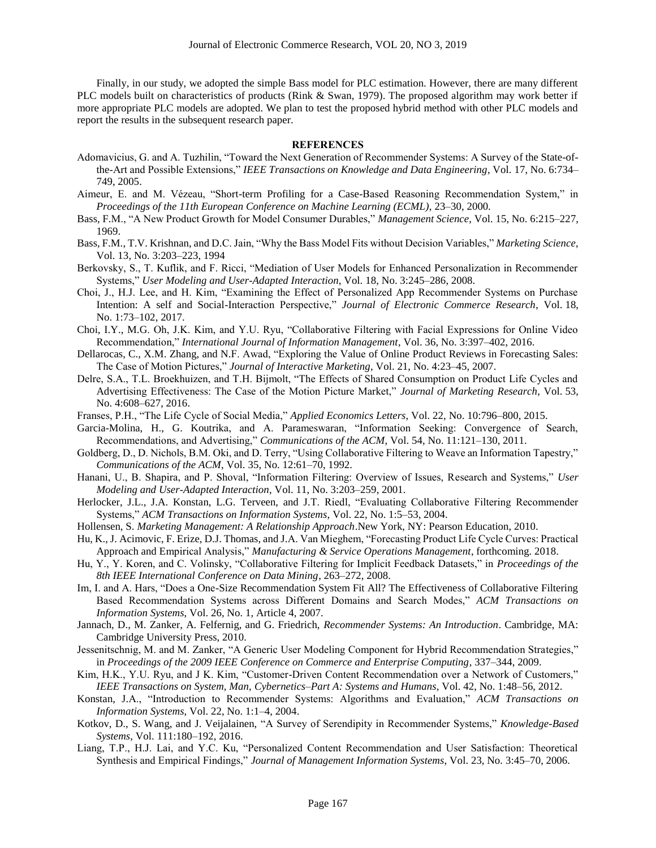Finally, in our study, we adopted the simple Bass model for PLC estimation. However, there are many different PLC models built on characteristics of products (Rink & Swan, 1979). The proposed algorithm may work better if more appropriate PLC models are adopted. We plan to test the proposed hybrid method with other PLC models and report the results in the subsequent research paper.

#### **REFERENCES**

- Adomavicius, G. and A. Tuzhilin, "Toward the Next Generation of Recommender Systems: A Survey of the State-ofthe-Art and Possible Extensions," *IEEE Transactions on Knowledge and Data Engineering*, Vol. 17, No. 6:734– 749, 2005.
- Aimeur, E. and M. Vézeau, "Short-term Profiling for a Case-Based Reasoning Recommendation System," in *Proceedings of the 11th European Conference on Machine Learning (ECML)*, 23–30, 2000.
- Bass, F.M., "A New Product Growth for Model Consumer Durables," *Management Science*, Vol. 15, No. 6:215–227, 1969.
- Bass, F.M., T.V. Krishnan, and D.C. Jain, "Why the Bass Model Fits without Decision Variables," *Marketing Science*, Vol. 13, No. 3:203–223, 1994
- Berkovsky, S., T. Kuflik, and F. Ricci, "Mediation of User Models for Enhanced Personalization in Recommender Systems," *User Modeling and User-Adapted Interaction*, Vol. 18, No. 3:245–286, 2008.
- Choi, J., H.J. Lee, and H. Kim, "Examining the Effect of Personalized App Recommender Systems on Purchase Intention: A self and Social-Interaction Perspective," *Journal of Electronic Commerce Research*, Vol. 18, No. 1:73–102, 2017.
- Choi, I.Y., M.G. Oh, J.K. Kim, and Y.U. Ryu, "Collaborative Filtering with Facial Expressions for Online Video Recommendation," *International Journal of Information Management*, Vol. 36, No. 3:397–402, 2016.
- Dellarocas, C., X.M. Zhang, and N.F. Awad, "Exploring the Value of Online Product Reviews in Forecasting Sales: The Case of Motion Pictures," *Journal of Interactive Marketing*, Vol. 21, No. 4:23–45, 2007.
- Delre, S.A., T.L. Broekhuizen, and T.H. Bijmolt, "The Effects of Shared Consumption on Product Life Cycles and Advertising Effectiveness: The Case of the Motion Picture Market," *Journal of Marketing Research*, Vol. 53, No. 4:608–627, 2016.
- Franses, P.H., "The Life Cycle of Social Media," *Applied Economics Letters*, Vol. 22, No. 10:796–800, 2015.
- Garcia-Molina, H., G. Koutrika, and A. Parameswaran, "Information Seeking: Convergence of Search, Recommendations, and Advertising," *Communications of the ACM*, Vol. 54, No. 11:121–130, 2011.
- Goldberg, D., D. Nichols, B.M. Oki, and D. Terry, "Using Collaborative Filtering to Weave an Information Tapestry," *Communications of the ACM*, Vol. 35, No. 12:61–70, 1992.
- Hanani, U., B. Shapira, and P. Shoval, "Information Filtering: Overview of Issues, Research and Systems," *User Modeling and User-Adapted Interaction*, Vol. 11, No. 3:203–259, 2001.
- Herlocker, J.L., J.A. Konstan, L.G. Terveen, and J.T. Riedl, "Evaluating Collaborative Filtering Recommender Systems," *ACM Transactions on Information Systems*, Vol. 22, No. 1:5–53, 2004.
- Hollensen, S. *Marketing Management: A Relationship Approach*.New York, NY: Pearson Education, 2010.
- Hu, K., J. Acimovic, F. Erize, D.J. Thomas, and J.A. Van Mieghem, "Forecasting Product Life Cycle Curves: Practical Approach and Empirical Analysis," *Manufacturing & Service Operations Management*, forthcoming. 2018.
- Hu, Y., Y. Koren, and C. Volinsky, "Collaborative Filtering for Implicit Feedback Datasets," in *Proceedings of the 8th IEEE International Conference on Data Mining*, 263–272, 2008.
- Im, I. and A. Hars, "Does a One-Size Recommendation System Fit All? The Effectiveness of Collaborative Filtering Based Recommendation Systems across Different Domains and Search Modes," *ACM Transactions on Information Systems*, Vol. 26, No. 1, Article 4, 2007.
- Jannach, D., M. Zanker, A. Felfernig, and G. Friedrich, *Recommender Systems: An Introduction*. Cambridge, MA: Cambridge University Press, 2010.
- Jessenitschnig, M. and M. Zanker, "A Generic User Modeling Component for Hybrid Recommendation Strategies," in *Proceedings of the 2009 IEEE Conference on Commerce and Enterprise Computing*, 337–344, 2009.
- Kim, H.K., Y.U. Ryu, and J K. Kim, "Customer-Driven Content Recommendation over a Network of Customers," *IEEE Transactions on System, Man, Cybernetics–Part A: Systems and Humans*, Vol. 42, No. 1:48–56, 2012.
- Konstan, J.A., "Introduction to Recommender Systems: Algorithms and Evaluation," *ACM Transactions on Information Systems*, Vol. 22, No. 1:1–4, 2004.
- Kotkov, D., S. Wang, and J. Veijalainen, "A Survey of Serendipity in Recommender Systems," *Knowledge-Based Systems*, Vol. 111:180–192, 2016.
- Liang, T.P., H.J. Lai, and Y.C. Ku, "Personalized Content Recommendation and User Satisfaction: Theoretical Synthesis and Empirical Findings," *Journal of Management Information Systems*, Vol. 23, No. 3:45–70, 2006.